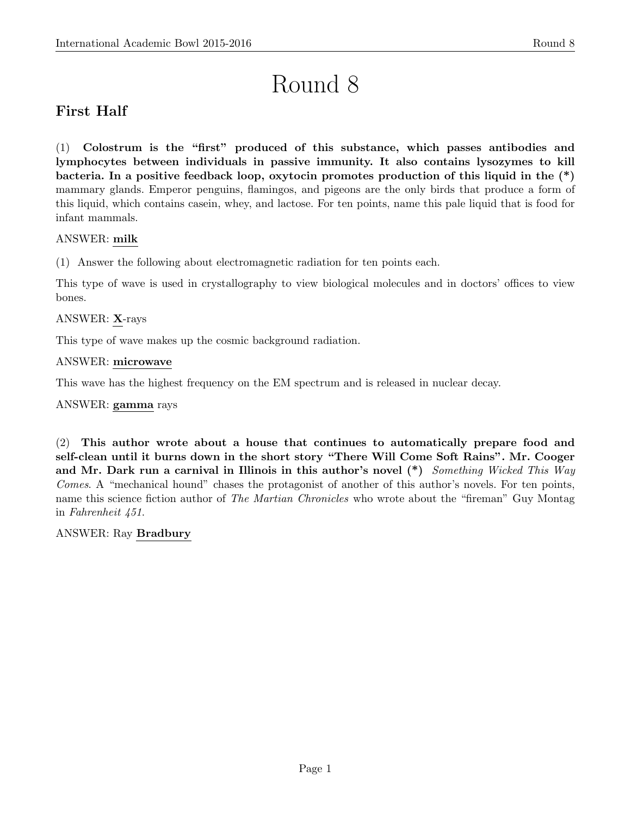# Round 8

# First Half

(1) Colostrum is the "first" produced of this substance, which passes antibodies and lymphocytes between individuals in passive immunity. It also contains lysozymes to kill bacteria. In a positive feedback loop, oxytocin promotes production of this liquid in the (\*) mammary glands. Emperor penguins, flamingos, and pigeons are the only birds that produce a form of this liquid, which contains casein, whey, and lactose. For ten points, name this pale liquid that is food for infant mammals.

# ANSWER: milk

(1) Answer the following about electromagnetic radiation for ten points each.

This type of wave is used in crystallography to view biological molecules and in doctors' offices to view bones.

# ANSWER: X-rays

This type of wave makes up the cosmic background radiation.

# ANSWER: microwave

This wave has the highest frequency on the EM spectrum and is released in nuclear decay.

# ANSWER: gamma rays

(2) This author wrote about a house that continues to automatically prepare food and self-clean until it burns down in the short story "There Will Come Soft Rains". Mr. Cooger and Mr. Dark run a carnival in Illinois in this author's novel  $(*)$  Something Wicked This Way Comes. A "mechanical hound" chases the protagonist of another of this author's novels. For ten points, name this science fiction author of *The Martian Chronicles* who wrote about the "fireman" Guy Montag in Fahrenheit 451.

# ANSWER: Ray Bradbury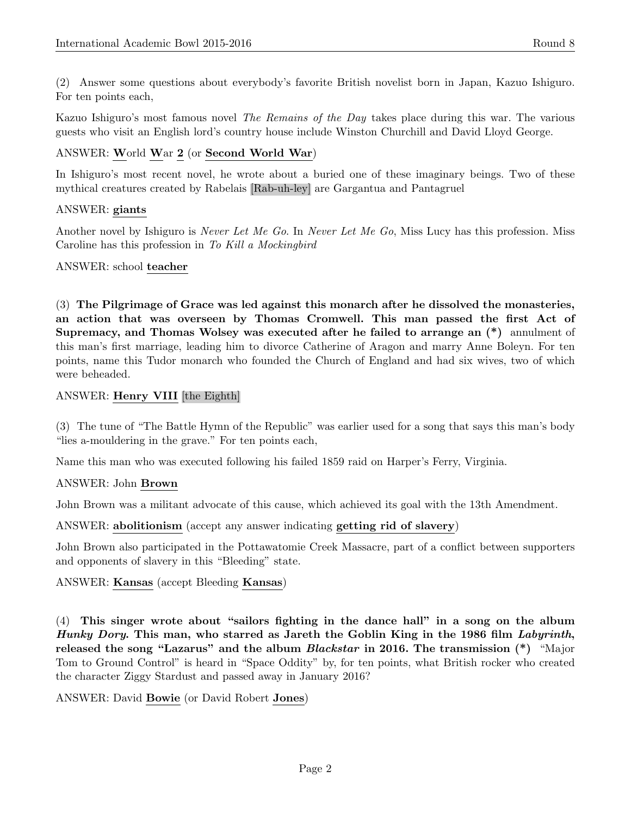(2) Answer some questions about everybody's favorite British novelist born in Japan, Kazuo Ishiguro. For ten points each,

Kazuo Ishiguro's most famous novel The Remains of the Day takes place during this war. The various guests who visit an English lord's country house include Winston Churchill and David Lloyd George.

# ANSWER: World War 2 (or Second World War)

In Ishiguro's most recent novel, he wrote about a buried one of these imaginary beings. Two of these mythical creatures created by Rabelais [Rab-uh-ley] are Gargantua and Pantagruel

# ANSWER: giants

Another novel by Ishiguro is *Never Let Me Go*. In *Never Let Me Go*, Miss Lucy has this profession. Miss Caroline has this profession in To Kill a Mockingbird

# ANSWER: school teacher

(3) The Pilgrimage of Grace was led against this monarch after he dissolved the monasteries, an action that was overseen by Thomas Cromwell. This man passed the first Act of Supremacy, and Thomas Wolsey was executed after he failed to arrange an (\*) annulment of this man's first marriage, leading him to divorce Catherine of Aragon and marry Anne Boleyn. For ten points, name this Tudor monarch who founded the Church of England and had six wives, two of which were beheaded.

# ANSWER: Henry VIII [the Eighth]

(3) The tune of "The Battle Hymn of the Republic" was earlier used for a song that says this man's body "lies a-mouldering in the grave." For ten points each,

Name this man who was executed following his failed 1859 raid on Harper's Ferry, Virginia.

# ANSWER: John Brown

John Brown was a militant advocate of this cause, which achieved its goal with the 13th Amendment.

ANSWER: abolitionism (accept any answer indicating getting rid of slavery)

John Brown also participated in the Pottawatomie Creek Massacre, part of a conflict between supporters and opponents of slavery in this "Bleeding" state.

# ANSWER: Kansas (accept Bleeding Kansas)

(4) This singer wrote about "sailors fighting in the dance hall" in a song on the album Hunky Dory. This man, who starred as Jareth the Goblin King in the 1986 film Labyrinth, released the song "Lazarus" and the album *Blackstar* in 2016. The transmission  $(*)$  "Major" Tom to Ground Control" is heard in "Space Oddity" by, for ten points, what British rocker who created the character Ziggy Stardust and passed away in January 2016?

# ANSWER: David Bowie (or David Robert Jones)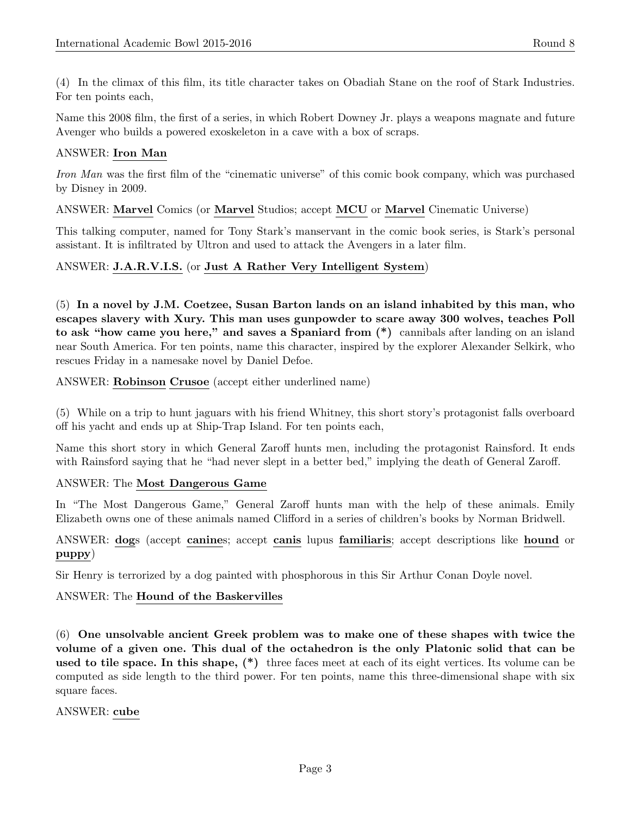(4) In the climax of this film, its title character takes on Obadiah Stane on the roof of Stark Industries. For ten points each,

Name this 2008 film, the first of a series, in which Robert Downey Jr. plays a weapons magnate and future Avenger who builds a powered exoskeleton in a cave with a box of scraps.

# ANSWER: Iron Man

Iron Man was the first film of the "cinematic universe" of this comic book company, which was purchased by Disney in 2009.

# ANSWER: Marvel Comics (or Marvel Studios; accept MCU or Marvel Cinematic Universe)

This talking computer, named for Tony Stark's manservant in the comic book series, is Stark's personal assistant. It is infiltrated by Ultron and used to attack the Avengers in a later film.

# ANSWER: J.A.R.V.I.S. (or Just A Rather Very Intelligent System)

(5) In a novel by J.M. Coetzee, Susan Barton lands on an island inhabited by this man, who escapes slavery with Xury. This man uses gunpowder to scare away 300 wolves, teaches Poll to ask "how came you here," and saves a Spaniard from (\*) cannibals after landing on an island near South America. For ten points, name this character, inspired by the explorer Alexander Selkirk, who rescues Friday in a namesake novel by Daniel Defoe.

## ANSWER: Robinson Crusoe (accept either underlined name)

(5) While on a trip to hunt jaguars with his friend Whitney, this short story's protagonist falls overboard off his yacht and ends up at Ship-Trap Island. For ten points each,

Name this short story in which General Zaroff hunts men, including the protagonist Rainsford. It ends with Rainsford saying that he "had never slept in a better bed," implying the death of General Zaroff.

# ANSWER: The Most Dangerous Game

In "The Most Dangerous Game," General Zaroff hunts man with the help of these animals. Emily Elizabeth owns one of these animals named Clifford in a series of children's books by Norman Bridwell.

ANSWER: dogs (accept canines; accept canis lupus familiaris; accept descriptions like hound or puppy)

Sir Henry is terrorized by a dog painted with phosphorous in this Sir Arthur Conan Doyle novel.

#### ANSWER: The Hound of the Baskervilles

(6) One unsolvable ancient Greek problem was to make one of these shapes with twice the volume of a given one. This dual of the octahedron is the only Platonic solid that can be used to tile space. In this shape, (\*) three faces meet at each of its eight vertices. Its volume can be computed as side length to the third power. For ten points, name this three-dimensional shape with six square faces.

#### ANSWER: cube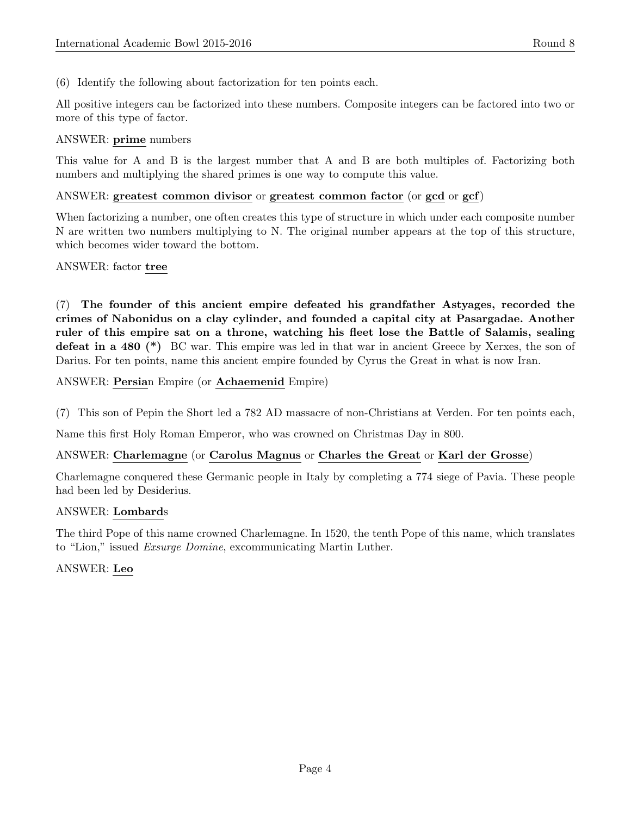(6) Identify the following about factorization for ten points each.

All positive integers can be factorized into these numbers. Composite integers can be factored into two or more of this type of factor.

# ANSWER: prime numbers

This value for A and B is the largest number that A and B are both multiples of. Factorizing both numbers and multiplying the shared primes is one way to compute this value.

## ANSWER: greatest common divisor or greatest common factor (or gcd or gcf)

When factorizing a number, one often creates this type of structure in which under each composite number N are written two numbers multiplying to N. The original number appears at the top of this structure, which becomes wider toward the bottom.

## ANSWER: factor tree

(7) The founder of this ancient empire defeated his grandfather Astyages, recorded the crimes of Nabonidus on a clay cylinder, and founded a capital city at Pasargadae. Another ruler of this empire sat on a throne, watching his fleet lose the Battle of Salamis, sealing defeat in a 480 (\*) BC war. This empire was led in that war in ancient Greece by Xerxes, the son of Darius. For ten points, name this ancient empire founded by Cyrus the Great in what is now Iran.

ANSWER: Persian Empire (or Achaemenid Empire)

(7) This son of Pepin the Short led a 782 AD massacre of non-Christians at Verden. For ten points each,

Name this first Holy Roman Emperor, who was crowned on Christmas Day in 800.

# ANSWER: Charlemagne (or Carolus Magnus or Charles the Great or Karl der Grosse)

Charlemagne conquered these Germanic people in Italy by completing a 774 siege of Pavia. These people had been led by Desiderius.

#### ANSWER: Lombards

The third Pope of this name crowned Charlemagne. In 1520, the tenth Pope of this name, which translates to "Lion," issued Exsurge Domine, excommunicating Martin Luther.

# ANSWER: Leo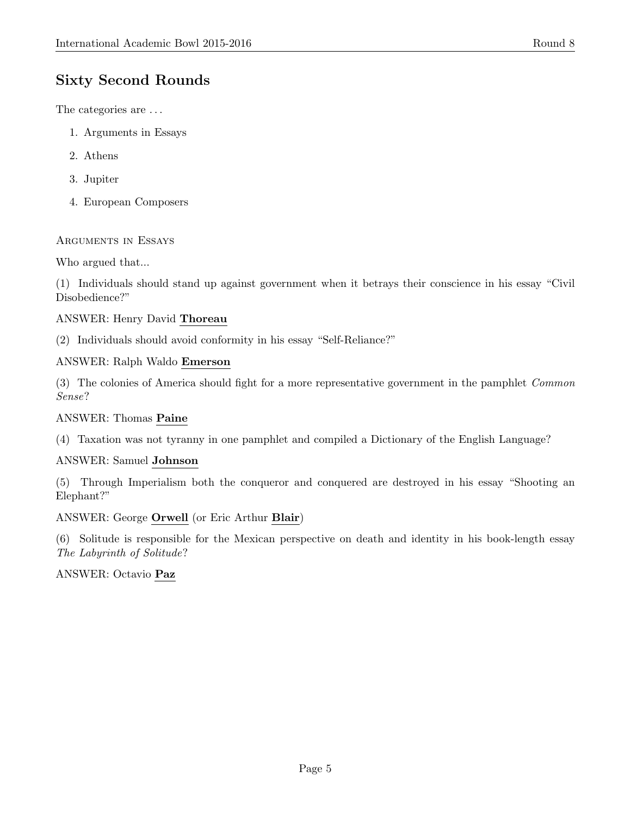# Sixty Second Rounds

The categories are  $\ldots$ 

- 1. Arguments in Essays
- 2. Athens
- 3. Jupiter
- 4. European Composers

# Arguments in Essays

Who argued that...

(1) Individuals should stand up against government when it betrays their conscience in his essay "Civil Disobedience?"

# ANSWER: Henry David Thoreau

(2) Individuals should avoid conformity in his essay "Self-Reliance?"

# ANSWER: Ralph Waldo Emerson

(3) The colonies of America should fight for a more representative government in the pamphlet Common Sense?

# ANSWER: Thomas Paine

(4) Taxation was not tyranny in one pamphlet and compiled a Dictionary of the English Language?

# ANSWER: Samuel Johnson

(5) Through Imperialism both the conqueror and conquered are destroyed in his essay "Shooting an Elephant?"

# ANSWER: George Orwell (or Eric Arthur Blair)

(6) Solitude is responsible for the Mexican perspective on death and identity in his book-length essay The Labyrinth of Solitude?

# ANSWER: Octavio Paz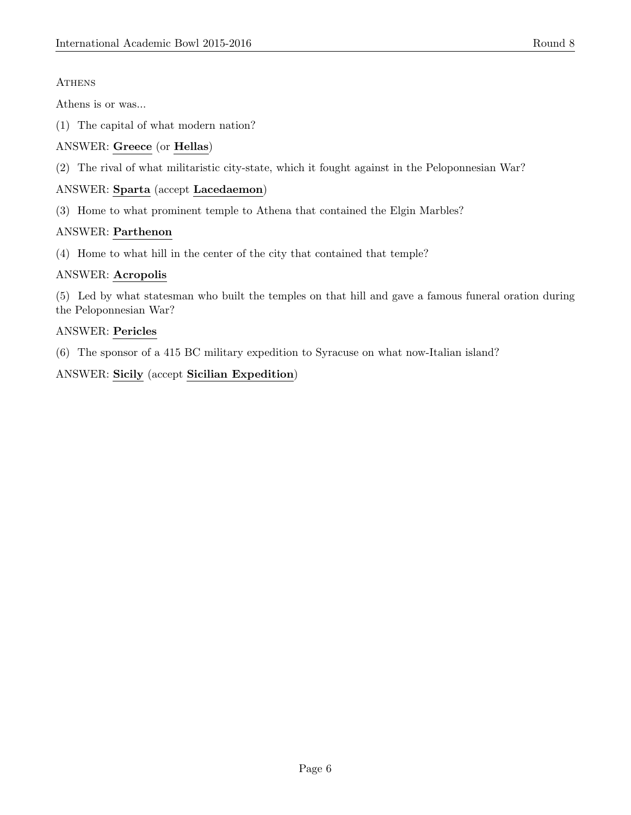# **ATHENS**

Athens is or was...

(1) The capital of what modern nation?

# ANSWER: Greece (or Hellas)

(2) The rival of what militaristic city-state, which it fought against in the Peloponnesian War?

# ANSWER: Sparta (accept Lacedaemon)

(3) Home to what prominent temple to Athena that contained the Elgin Marbles?

# ANSWER: Parthenon

(4) Home to what hill in the center of the city that contained that temple?

# ANSWER: Acropolis

(5) Led by what statesman who built the temples on that hill and gave a famous funeral oration during the Peloponnesian War?

# ANSWER: Pericles

(6) The sponsor of a 415 BC military expedition to Syracuse on what now-Italian island?

ANSWER: Sicily (accept Sicilian Expedition)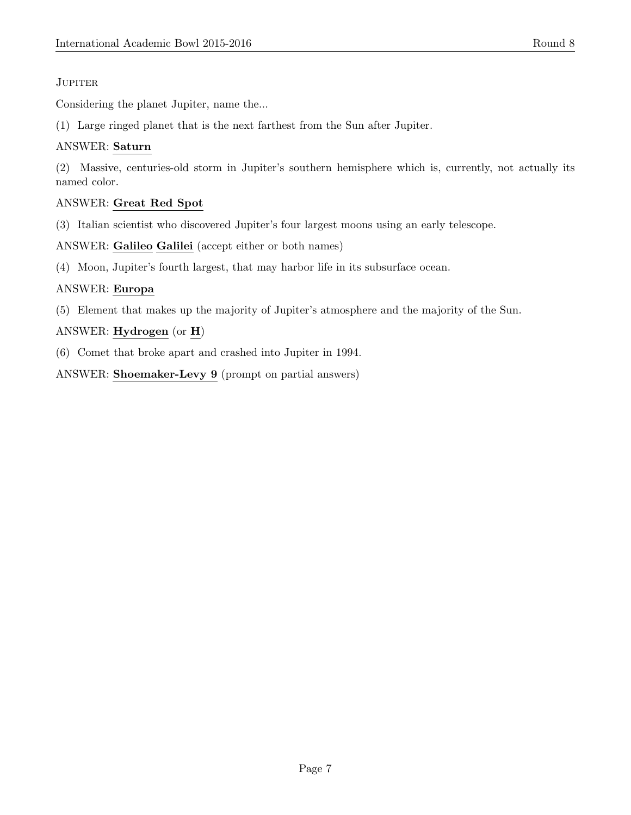# **JUPITER**

Considering the planet Jupiter, name the...

(1) Large ringed planet that is the next farthest from the Sun after Jupiter.

# ANSWER: Saturn

(2) Massive, centuries-old storm in Jupiter's southern hemisphere which is, currently, not actually its named color.

# ANSWER: Great Red Spot

(3) Italian scientist who discovered Jupiter's four largest moons using an early telescope.

ANSWER: Galileo Galilei (accept either or both names)

(4) Moon, Jupiter's fourth largest, that may harbor life in its subsurface ocean.

# ANSWER: Europa

(5) Element that makes up the majority of Jupiter's atmosphere and the majority of the Sun.

# ANSWER: Hydrogen (or H)

(6) Comet that broke apart and crashed into Jupiter in 1994.

ANSWER: Shoemaker-Levy 9 (prompt on partial answers)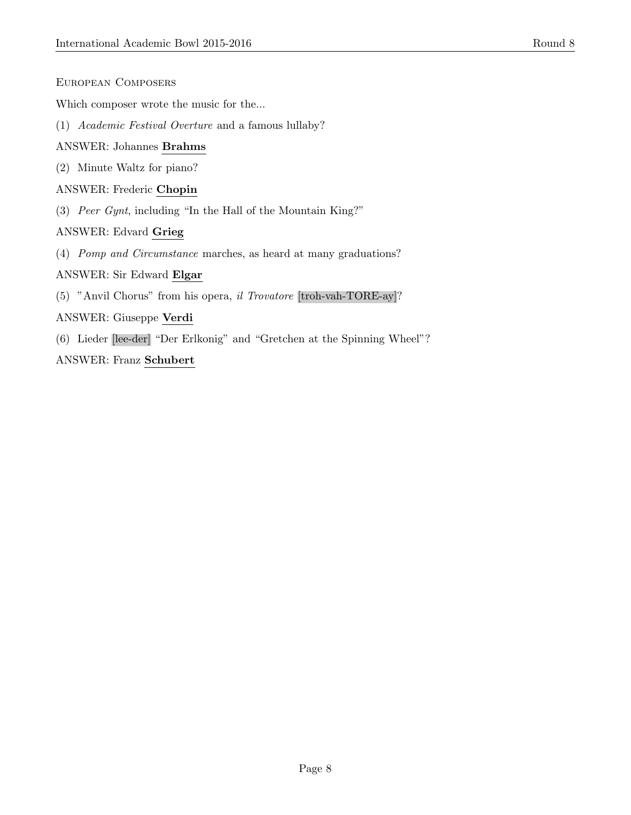| EUROPEAN COMPOSERS |
|--------------------|
|                    |

Which composer wrote the music for the...

(1) Academic Festival Overture and a famous lullaby?

# ANSWER: Johannes Brahms

(2) Minute Waltz for piano?

#### ANSWER: Frederic Chopin

(3) Peer Gynt, including "In the Hall of the Mountain King?"

## ANSWER: Edvard Grieg

(4) Pomp and Circumstance marches, as heard at many graduations?

#### ANSWER: Sir Edward Elgar

(5) "Anvil Chorus" from his opera, il Trovatore [troh-vah-TORE-ay]?

#### ANSWER: Giuseppe Verdi

(6) Lieder [lee-der] "Der Erlkonig" and "Gretchen at the Spinning Wheel"?

#### ANSWER: Franz Schubert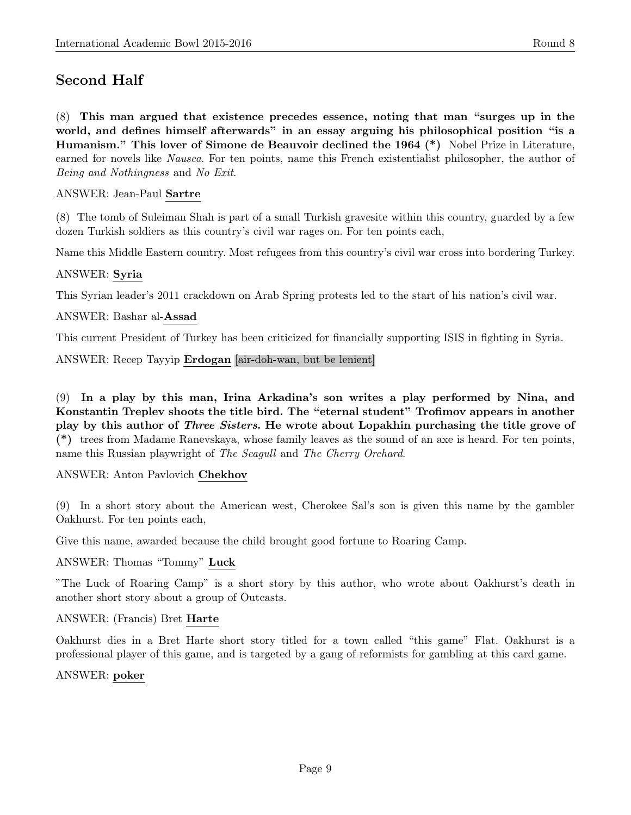# Second Half

(8) This man argued that existence precedes essence, noting that man "surges up in the world, and defines himself afterwards" in an essay arguing his philosophical position "is a Humanism." This lover of Simone de Beauvoir declined the 1964 (\*) Nobel Prize in Literature, earned for novels like Nausea. For ten points, name this French existentialist philosopher, the author of Being and Nothingness and No Exit.

# ANSWER: Jean-Paul Sartre

(8) The tomb of Suleiman Shah is part of a small Turkish gravesite within this country, guarded by a few dozen Turkish soldiers as this country's civil war rages on. For ten points each,

Name this Middle Eastern country. Most refugees from this country's civil war cross into bordering Turkey.

# ANSWER: Syria

This Syrian leader's 2011 crackdown on Arab Spring protests led to the start of his nation's civil war.

## ANSWER: Bashar al-Assad

This current President of Turkey has been criticized for financially supporting ISIS in fighting in Syria.

#### ANSWER: Recep Tayyip Erdogan [air-doh-wan, but be lenient]

(9) In a play by this man, Irina Arkadina's son writes a play performed by Nina, and Konstantin Treplev shoots the title bird. The "eternal student" Trofimov appears in another play by this author of Three Sisters. He wrote about Lopakhin purchasing the title grove of (\*) trees from Madame Ranevskaya, whose family leaves as the sound of an axe is heard. For ten points, name this Russian playwright of The Seagull and The Cherry Orchard.

#### ANSWER: Anton Pavlovich Chekhov

(9) In a short story about the American west, Cherokee Sal's son is given this name by the gambler Oakhurst. For ten points each,

Give this name, awarded because the child brought good fortune to Roaring Camp.

#### ANSWER: Thomas "Tommy" Luck

"The Luck of Roaring Camp" is a short story by this author, who wrote about Oakhurst's death in another short story about a group of Outcasts.

# ANSWER: (Francis) Bret Harte

Oakhurst dies in a Bret Harte short story titled for a town called "this game" Flat. Oakhurst is a professional player of this game, and is targeted by a gang of reformists for gambling at this card game.

#### ANSWER: poker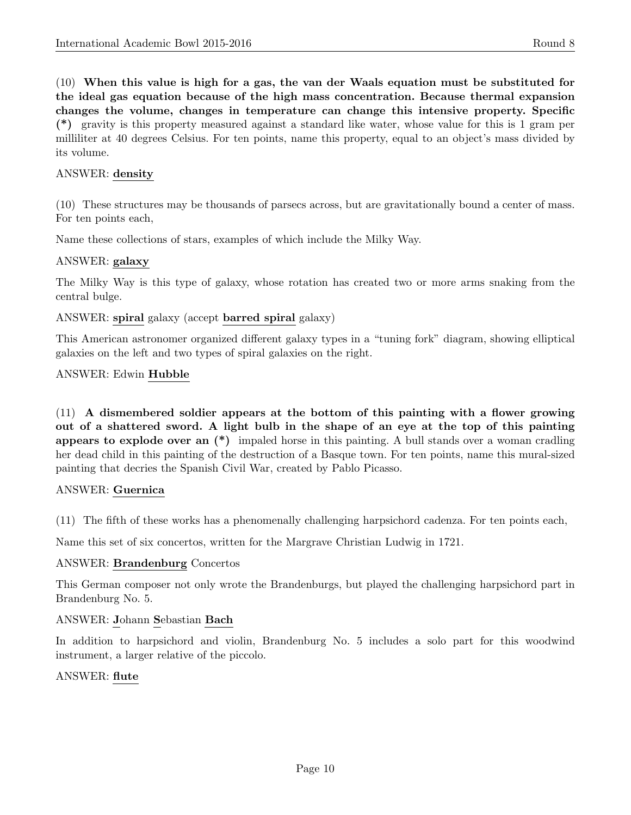(10) When this value is high for a gas, the van der Waals equation must be substituted for the ideal gas equation because of the high mass concentration. Because thermal expansion changes the volume, changes in temperature can change this intensive property. Specific (\*) gravity is this property measured against a standard like water, whose value for this is 1 gram per milliliter at 40 degrees Celsius. For ten points, name this property, equal to an object's mass divided by its volume.

## ANSWER: density

(10) These structures may be thousands of parsecs across, but are gravitationally bound a center of mass. For ten points each,

Name these collections of stars, examples of which include the Milky Way.

## ANSWER: galaxy

The Milky Way is this type of galaxy, whose rotation has created two or more arms snaking from the central bulge.

## ANSWER: spiral galaxy (accept barred spiral galaxy)

This American astronomer organized different galaxy types in a "tuning fork" diagram, showing elliptical galaxies on the left and two types of spiral galaxies on the right.

## ANSWER: Edwin Hubble

(11) A dismembered soldier appears at the bottom of this painting with a flower growing out of a shattered sword. A light bulb in the shape of an eye at the top of this painting appears to explode over an (\*) impaled horse in this painting. A bull stands over a woman cradling her dead child in this painting of the destruction of a Basque town. For ten points, name this mural-sized painting that decries the Spanish Civil War, created by Pablo Picasso.

# ANSWER: Guernica

(11) The fifth of these works has a phenomenally challenging harpsichord cadenza. For ten points each,

Name this set of six concertos, written for the Margrave Christian Ludwig in 1721.

#### ANSWER: Brandenburg Concertos

This German composer not only wrote the Brandenburgs, but played the challenging harpsichord part in Brandenburg No. 5.

# ANSWER: Johann Sebastian Bach

In addition to harpsichord and violin, Brandenburg No. 5 includes a solo part for this woodwind instrument, a larger relative of the piccolo.

#### ANSWER: flute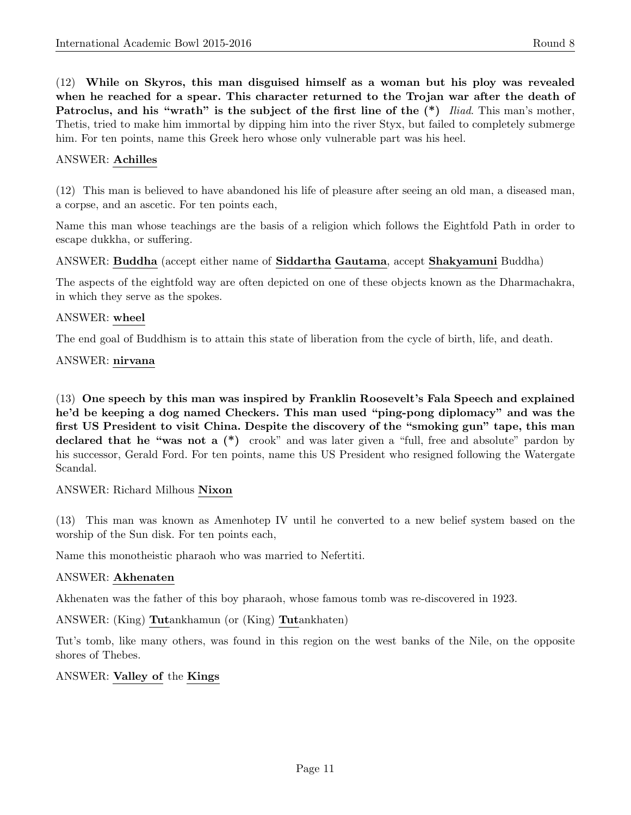(12) While on Skyros, this man disguised himself as a woman but his ploy was revealed when he reached for a spear. This character returned to the Trojan war after the death of Patroclus, and his "wrath" is the subject of the first line of the  $(*)$  Iliad. This man's mother, Thetis, tried to make him immortal by dipping him into the river Styx, but failed to completely submerge him. For ten points, name this Greek hero whose only vulnerable part was his heel.

# ANSWER: Achilles

(12) This man is believed to have abandoned his life of pleasure after seeing an old man, a diseased man, a corpse, and an ascetic. For ten points each,

Name this man whose teachings are the basis of a religion which follows the Eightfold Path in order to escape dukkha, or suffering.

## ANSWER: Buddha (accept either name of Siddartha Gautama, accept Shakyamuni Buddha)

The aspects of the eightfold way are often depicted on one of these objects known as the Dharmachakra, in which they serve as the spokes.

#### ANSWER: wheel

The end goal of Buddhism is to attain this state of liberation from the cycle of birth, life, and death.

#### ANSWER: nirvana

(13) One speech by this man was inspired by Franklin Roosevelt's Fala Speech and explained he'd be keeping a dog named Checkers. This man used "ping-pong diplomacy" and was the first US President to visit China. Despite the discovery of the "smoking gun" tape, this man declared that he "was not a  $(*)$  crook" and was later given a "full, free and absolute" pardon by his successor, Gerald Ford. For ten points, name this US President who resigned following the Watergate Scandal.

# ANSWER: Richard Milhous Nixon

(13) This man was known as Amenhotep IV until he converted to a new belief system based on the worship of the Sun disk. For ten points each,

Name this monotheistic pharaoh who was married to Nefertiti.

#### ANSWER: Akhenaten

Akhenaten was the father of this boy pharaoh, whose famous tomb was re-discovered in 1923.

ANSWER: (King) Tutankhamun (or (King) Tutankhaten)

Tut's tomb, like many others, was found in this region on the west banks of the Nile, on the opposite shores of Thebes.

ANSWER: Valley of the Kings